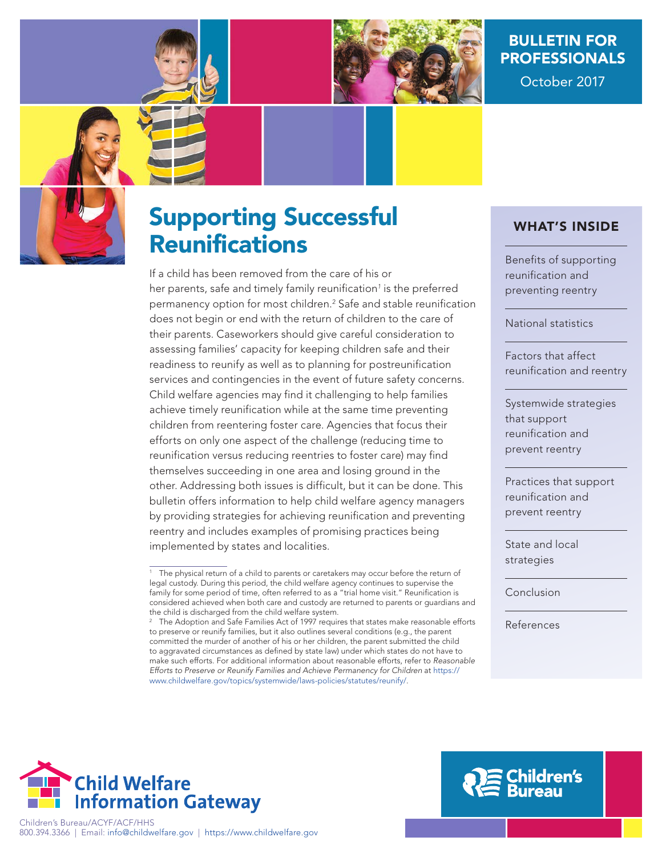

## BULLETIN FOR PROFESSIONALS

October 2017



# Supporting Successful **Reunifications**

If a child has been removed from the care of his or her parents, safe and timely family reunification<sup>1</sup> is the preferred permanency option for most children.<sup>2</sup> Safe and stable reunification does not begin or end with the return of children to the care of their parents. Caseworkers should give careful consideration to assessing families' capacity for keeping children safe and their readiness to reunify as well as to planning for postreunification services and contingencies in the event of future safety concerns. Child welfare agencies may find it challenging to help families achieve timely reunification while at the same time preventing children from reentering foster care. Agencies that focus their efforts on only one aspect of the challenge (reducing time to reunification versus reducing reentries to foster care) may find themselves succeeding in one area and losing ground in the other. Addressing both issues is difficult, but it can be done. This bulletin offers information to help child welfare agency managers by providing strategies for achieving reunification and preventing reentry and includes examples of promising practices being implemented by states and localities.

#### WHAT'S INSIDE

Benefits of supporting reunification and preventing reentry

National statistics

Factors that affect reunification and reentry

Systemwide strategies that support reunification and prevent reentry

Practices that support reunification and prevent reentry

State and local strategies

Conclusion

References





<sup>&</sup>lt;sup>1</sup> The physical return of a child to parents or caretakers may occur before the return of legal custody. During this period, the child welfare agency continues to supervise the family for some period of time, often referred to as a "trial home visit." Reunification is considered achieved when both care and custody are returned to parents or guardians and the child is discharged from the child welfare system.

 $2<sup>2</sup>$  The Adoption and Safe Families Act of 1997 requires that states make reasonable efforts to preserve or reunify families, but it also outlines several conditions (e.g., the parent committed the murder of another of his or her children, the parent submitted the child to aggravated circumstances as defined by state law) under which states do not have to make such efforts. For additional information about reasonable efforts, refer to Reasonable Efforts to Preserve or Reunify Families and Achieve Permanency for Children at [https://](https://www.childwelfare.gov/topics/systemwide/laws-policies/statutes/reunify/) [www.childwelfare.gov/topics/systemwide/laws-policies/statutes/reunify/](https://www.childwelfare.gov/topics/systemwide/laws-policies/statutes/reunify/).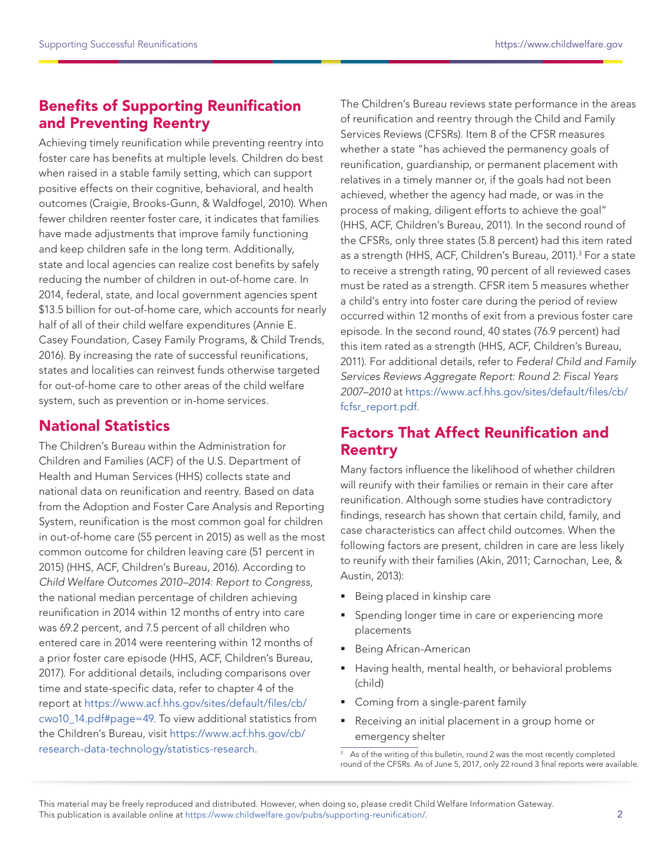## Benefits of Supporting Reunification and Preventing Reentry

Achieving timely reunification while preventing reentry into foster care has benefits at multiple levels. Children do best when raised in a stable family setting, which can support positive effects on their cognitive, behavioral, and health outcomes (Craigie, Brooks-Gunn, & Waldfogel, 2010). When fewer children reenter foster care, it indicates that families have made adjustments that improve family functioning and keep children safe in the long term. Additionally, state and local agencies can realize cost benefits by safely reducing the number of children in out-of-home care. In 2014, federal, state, and local government agencies spent \$13.5 billion for out-of-home care, which accounts for nearly half of all of their child welfare expenditures (Annie E. Casey Foundation, Casey Family Programs, & Child Trends, 2016). By increasing the rate of successful reunifications, states and localities can reinvest funds otherwise targeted for out-of-home care to other areas of the child welfare system, such as prevention or in-home services.

## National Statistics

The Children's Bureau within the Administration for Children and Families (ACF) of the U.S. Department of Health and Human Services (HHS) collects state and national data on reunification and reentry. Based on data from the Adoption and Foster Care Analysis and Reporting System, reunification is the most common goal for children in out-of-home care (55 percent in 2015) as well as the most common outcome for children leaving care (51 percent in 2015) (HHS, ACF, Children's Bureau, 2016). According to Child Welfare Outcomes 2010–2014: Report to Congress, the national median percentage of children achieving reunification in 2014 within 12 months of entry into care was 69.2 percent, and 7.5 percent of all children who entered care in 2014 were reentering within 12 months of a prior foster care episode (HHS, ACF, Children's Bureau, 2017). For additional details, including comparisons over time and state-specific data, refer to chapter 4 of the report at [https://www.acf.hhs.gov/sites/default/files/cb/](https://www.acf.hhs.gov/sites/default/files/cb/cwo10_14.pdf#page=49) [cwo10\\_14.pdf#page=49.](https://www.acf.hhs.gov/sites/default/files/cb/cwo10_14.pdf#page=49) To view additional statistics from the Children's Bureau, visit [https://www.acf.hhs.gov/cb/](https://www.acf.hhs.gov/cb/research-data-technology/statistics-research) [research-data-technology/statistics-research.](https://www.acf.hhs.gov/cb/research-data-technology/statistics-research)

The Children's Bureau reviews state performance in the areas of reunification and reentry through the Child and Family Services Reviews (CFSRs). Item 8 of the CFSR measures whether a state "has achieved the permanency goals of reunification, guardianship, or permanent placement with relatives in a timely manner or, if the goals had not been achieved, whether the agency had made, or was in the process of making, diligent efforts to achieve the goal" (HHS, ACF, Children's Bureau, 2011). In the second round of the CFSRs, only three states (5.8 percent) had this item rated as a strength (HHS, ACF, Children's Bureau, 2011).<sup>3</sup> For a state to receive a strength rating, 90 percent of all reviewed cases must be rated as a strength. CFSR item 5 measures whether a child's entry into foster care during the period of review occurred within 12 months of exit from a previous foster care episode. In the second round, 40 states (76.9 percent) had this item rated as a strength (HHS, ACF, Children's Bureau, 2011). For additional details, refer to Federal Child and Family Services Reviews Aggregate Report: Round 2: Fiscal Years 2007–2010 at [https://www.acf.hhs.gov/sites/default/files/cb/](https://www.acf.hhs.gov/sites/default/files/cb/fcfsr_report.pdf) [fcfsr\\_report.pdf](https://www.acf.hhs.gov/sites/default/files/cb/fcfsr_report.pdf).

## Factors That Affect Reunification and Reentry

Many factors influence the likelihood of whether children will reunify with their families or remain in their care after reunification. Although some studies have contradictory findings, research has shown that certain child, family, and case characteristics can affect child outcomes. When the following factors are present, children in care are less likely to reunify with their families (Akin, 2011; Carnochan, Lee, & Austin, 2013):

- Being placed in kinship care
- **Spending longer time in care or experiencing more** placements
- **Being African-American**
- Having health, mental health, or behavioral problems (child)
- **Coming from a single-parent family**
- Receiving an initial placement in a group home or emergency shelter

<sup>&</sup>lt;sup>3</sup> As of the writing of this bulletin, round 2 was the most recently completed round of the CFSRs. As of June 5, 2017, only 22 round 3 final reports were available.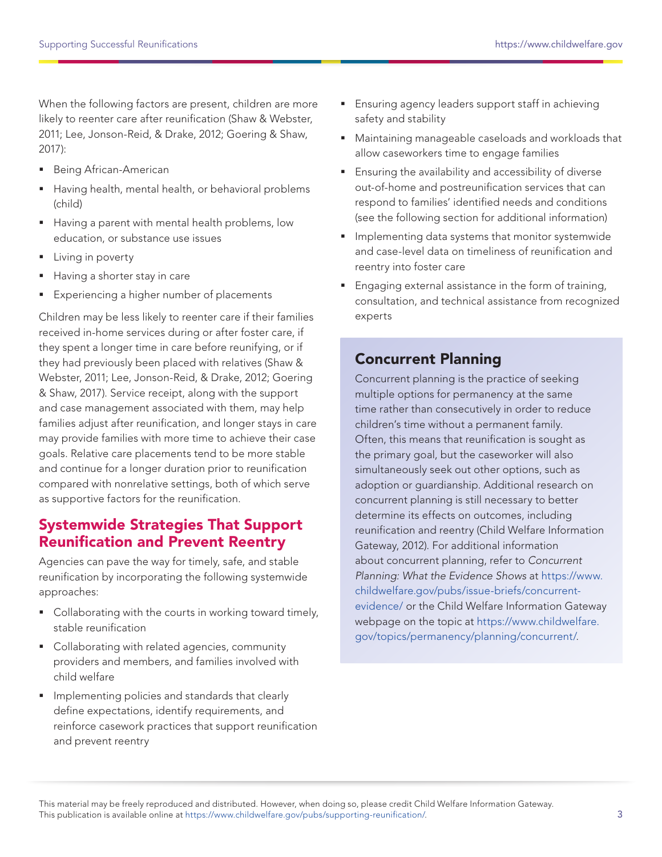When the following factors are present, children are more likely to reenter care after reunification (Shaw & Webster, 2011; Lee, Jonson-Reid, & Drake, 2012; Goering & Shaw, 2017):

- **Being African-American**
- Having health, mental health, or behavioral problems (child)
- Having a parent with mental health problems, low education, or substance use issues
- **Living in poverty**
- Having a shorter stay in care
- **Experiencing a higher number of placements**

Children may be less likely to reenter care if their families received in-home services during or after foster care, if they spent a longer time in care before reunifying, or if they had previously been placed with relatives (Shaw & Webster, 2011; Lee, Jonson-Reid, & Drake, 2012; Goering & Shaw, 2017). Service receipt, along with the support and case management associated with them, may help families adjust after reunification, and longer stays in care may provide families with more time to achieve their case goals. Relative care placements tend to be more stable and continue for a longer duration prior to reunification compared with nonrelative settings, both of which serve as supportive factors for the reunification.

#### Systemwide Strategies That Support Reunification and Prevent Reentry

Agencies can pave the way for timely, safe, and stable reunification by incorporating the following systemwide approaches:

- Collaborating with the courts in working toward timely, stable reunification
- Collaborating with related agencies, community providers and members, and families involved with child welfare
- **Implementing policies and standards that clearly** define expectations, identify requirements, and reinforce casework practices that support reunification and prevent reentry
- **Ensuring agency leaders support staff in achieving** safety and stability
- Maintaining manageable caseloads and workloads that allow caseworkers time to engage families
- Ensuring the availability and accessibility of diverse out-of-home and postreunification services that can respond to families' identified needs and conditions (see the following section for additional information)
- **Implementing data systems that monitor systemwide** and case-level data on timeliness of reunification and reentry into foster care
- Engaging external assistance in the form of training, consultation, and technical assistance from recognized experts

## Concurrent Planning

Concurrent planning is the practice of seeking multiple options for permanency at the same time rather than consecutively in order to reduce children's time without a permanent family. Often, this means that reunification is sought as the primary goal, but the caseworker will also simultaneously seek out other options, such as adoption or guardianship. Additional research on concurrent planning is still necessary to better determine its effects on outcomes, including reunification and reentry (Child Welfare Information Gateway, 2012). For additional information about concurrent planning, refer to Concurrent Planning: What the Evidence Shows at [https://www.](https://www.childwelfare.gov/pubs/issue-briefs/concurrent-evidence/) [childwelfare.gov/pubs/issue-briefs/concurrent](https://www.childwelfare.gov/pubs/issue-briefs/concurrent-evidence/)[evidence/](https://www.childwelfare.gov/pubs/issue-briefs/concurrent-evidence/) or the Child Welfare Information Gateway webpage on the topic at [https://www.childwelfare.](https://www.childwelfare.gov/topics/permanency/planning/concurrent/) [gov/topics/permanency/planning/concurrent/.](https://www.childwelfare.gov/topics/permanency/planning/concurrent/)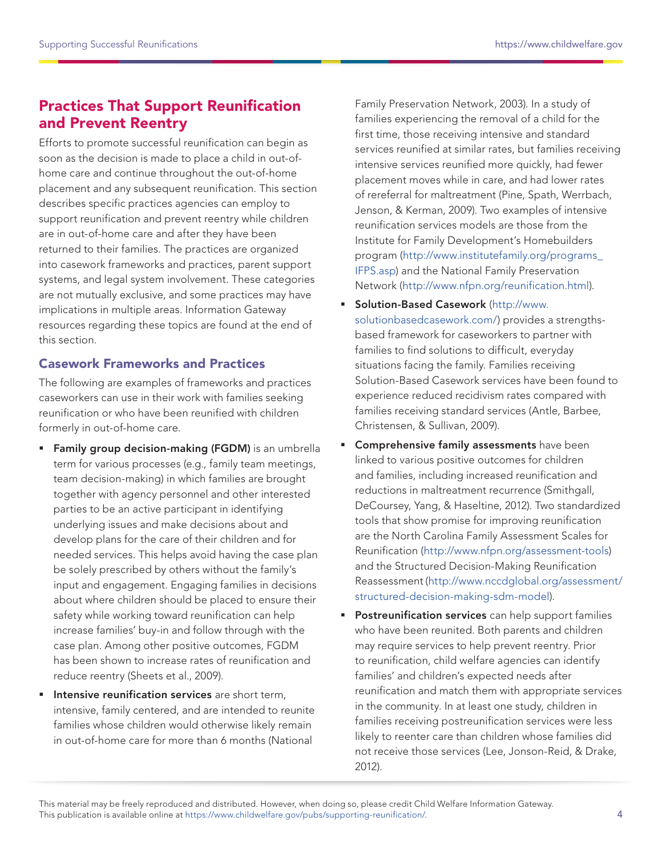## Practices That Support Reunification and Prevent Reentry

Efforts to promote successful reunification can begin as soon as the decision is made to place a child in out-ofhome care and continue throughout the out-of-home placement and any subsequent reunification. This section describes specific practices agencies can employ to support reunification and prevent reentry while children are in out-of-home care and after they have been returned to their families. The practices are organized into casework frameworks and practices, parent support systems, and legal system involvement. These categories are not mutually exclusive, and some practices may have implications in multiple areas. Information Gateway resources regarding these topics are found at the end of this section.

#### Casework Frameworks and Practices

The following are examples of frameworks and practices caseworkers can use in their work with families seeking reunification or who have been reunified with children formerly in out-of-home care.

- **Family group decision-making (FGDM)** is an umbrella term for various processes (e.g., family team meetings, team decision-making) in which families are brought together with agency personnel and other interested parties to be an active participant in identifying underlying issues and make decisions about and develop plans for the care of their children and for needed services. This helps avoid having the case plan be solely prescribed by others without the family's input and engagement. Engaging families in decisions about where children should be placed to ensure their safety while working toward reunification can help increase families' buy-in and follow through with the case plan. Among other positive outcomes, FGDM has been shown to increase rates of reunification and reduce reentry (Sheets et al., 2009).
- Intensive reunification services are short term, intensive, family centered, and are intended to reunite families whose children would otherwise likely remain in out-of-home care for more than 6 months (National

Family Preservation Network, 2003). In a study of families experiencing the removal of a child for the first time, those receiving intensive and standard services reunified at similar rates, but families receiving intensive services reunified more quickly, had fewer placement moves while in care, and had lower rates of rereferral for maltreatment (Pine, Spath, Werrbach, Jenson, & Kerman, 2009). Two examples of intensive reunification services models are those from the Institute for Family Development's Homebuilders program ([http://www.institutefamily.org/programs\\_](http://www.institutefamily.org/programs_IFPS.asp) [IFPS.asp](http://www.institutefamily.org/programs_IFPS.asp)) and the National Family Preservation Network [\(http://www.nfpn.org/reunification.html](http://www.nfpn.org/reunification.html)).

- **Solution-Based Casework [\(http://www.](http://www.solutionbasedcasework.com/)** [solutionbasedcasework.com/](http://www.solutionbasedcasework.com/)) provides a strengthsbased framework for caseworkers to partner with families to find solutions to difficult, everyday situations facing the family. Families receiving Solution-Based Casework services have been found to experience reduced recidivism rates compared with families receiving standard services (Antle, Barbee, Christensen, & Sullivan, 2009).
- **Comprehensive family assessments** have been linked to various positive outcomes for children and families, including increased reunification and reductions in maltreatment recurrence (Smithgall, DeCoursey, Yang, & Haseltine, 2012). Two standardized tools that show promise for improving reunification are the North Carolina Family Assessment Scales for Reunification (<http://www.nfpn.org/assessment-tools>) and the Structured Decision-Making Reunification Reassessment [\(http://www.nccdglobal.org/assessment/](http://www.nccdglobal.org/assessment/structured-decision-making-sdm-model) [structured-decision-making-sdm-model](http://www.nccdglobal.org/assessment/structured-decision-making-sdm-model)).
- **Postreunification services** can help support families who have been reunited. Both parents and children may require services to help prevent reentry. Prior to reunification, child welfare agencies can identify families' and children's expected needs after reunification and match them with appropriate services in the community. In at least one study, children in families receiving postreunification services were less likely to reenter care than children whose families did not receive those services (Lee, Jonson-Reid, & Drake, 2012).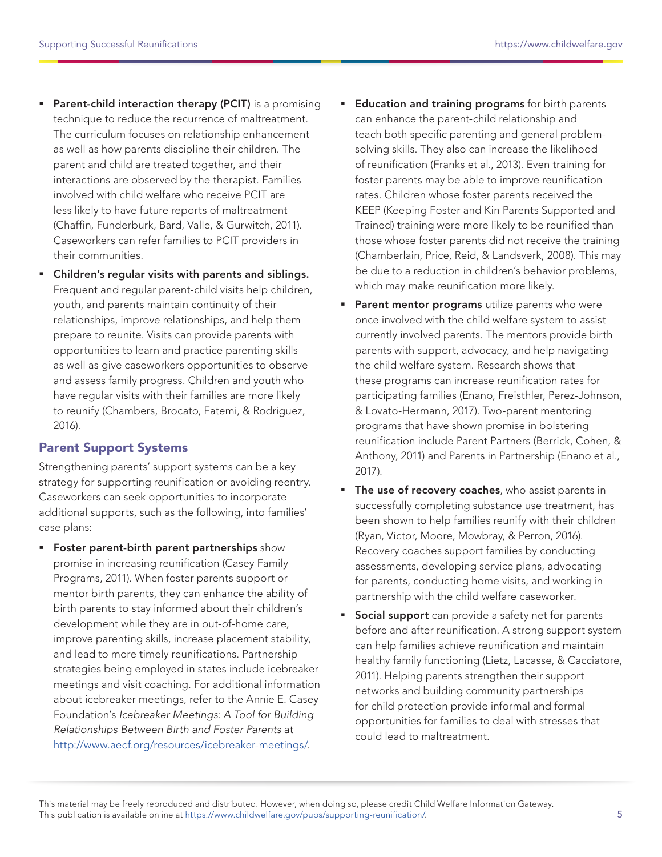- **Parent-child interaction therapy (PCIT)** is a promising technique to reduce the recurrence of maltreatment. The curriculum focuses on relationship enhancement as well as how parents discipline their children. The parent and child are treated together, and their interactions are observed by the therapist. Families involved with child welfare who receive PCIT are less likely to have future reports of maltreatment (Chaffin, Funderburk, Bard, Valle, & Gurwitch, 2011). Caseworkers can refer families to PCIT providers in their communities.
- Children's regular visits with parents and siblings. Frequent and regular parent-child visits help children, youth, and parents maintain continuity of their relationships, improve relationships, and help them prepare to reunite. Visits can provide parents with opportunities to learn and practice parenting skills as well as give caseworkers opportunities to observe and assess family progress. Children and youth who have regular visits with their families are more likely to reunify (Chambers, Brocato, Fatemi, & Rodriguez, 2016).

#### Parent Support Systems

Strengthening parents' support systems can be a key strategy for supporting reunification or avoiding reentry. Caseworkers can seek opportunities to incorporate additional supports, such as the following, into families' case plans:

**Foster parent-birth parent partnerships** show promise in increasing reunification (Casey Family Programs, 2011). When foster parents support or mentor birth parents, they can enhance the ability of birth parents to stay informed about their children's development while they are in out-of-home care, improve parenting skills, increase placement stability, and lead to more timely reunifications. Partnership strategies being employed in states include icebreaker meetings and visit coaching. For additional information about icebreaker meetings, refer to the Annie E. Casey Foundation's Icebreaker Meetings: A Tool for Building Relationships Between Birth and Foster Parents at <http://www.aecf.org/resources/icebreaker-meetings/>.

- **Education and training programs** for birth parents can enhance the parent-child relationship and teach both specific parenting and general problemsolving skills. They also can increase the likelihood of reunification (Franks et al., 2013). Even training for foster parents may be able to improve reunification rates. Children whose foster parents received the KEEP (Keeping Foster and Kin Parents Supported and Trained) training were more likely to be reunified than those whose foster parents did not receive the training (Chamberlain, Price, Reid, & Landsverk, 2008). This may be due to a reduction in children's behavior problems, which may make reunification more likely.
- **Parent mentor programs** utilize parents who were once involved with the child welfare system to assist currently involved parents. The mentors provide birth parents with support, advocacy, and help navigating the child welfare system. Research shows that these programs can increase reunification rates for participating families (Enano, Freisthler, Perez-Johnson, & Lovato-Hermann, 2017). Two-parent mentoring programs that have shown promise in bolstering reunification include Parent Partners (Berrick, Cohen, & Anthony, 2011) and Parents in Partnership (Enano et al., 2017).
- **The use of recovery coaches**, who assist parents in successfully completing substance use treatment, has been shown to help families reunify with their children (Ryan, Victor, Moore, Mowbray, & Perron, 2016). Recovery coaches support families by conducting assessments, developing service plans, advocating for parents, conducting home visits, and working in partnership with the child welfare caseworker.
- **Social support** can provide a safety net for parents before and after reunification. A strong support system can help families achieve reunification and maintain healthy family functioning (Lietz, Lacasse, & Cacciatore, 2011). Helping parents strengthen their support networks and building community partnerships for child protection provide informal and formal opportunities for families to deal with stresses that could lead to maltreatment.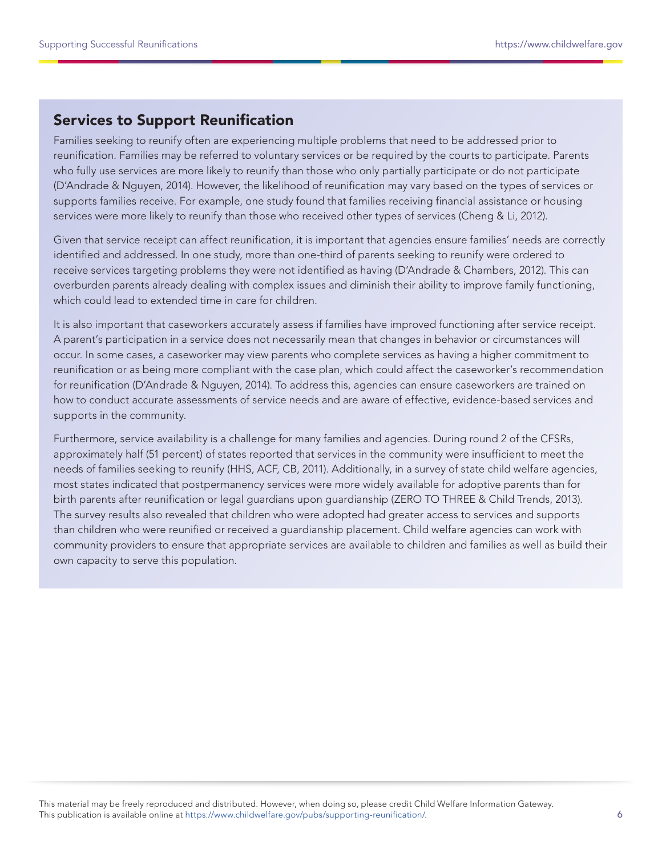## Services to Support Reunification

Families seeking to reunify often are experiencing multiple problems that need to be addressed prior to reunification. Families may be referred to voluntary services or be required by the courts to participate. Parents who fully use services are more likely to reunify than those who only partially participate or do not participate (D'Andrade & Nguyen, 2014). However, the likelihood of reunification may vary based on the types of services or supports families receive. For example, one study found that families receiving financial assistance or housing services were more likely to reunify than those who received other types of services (Cheng & Li, 2012).

Given that service receipt can affect reunification, it is important that agencies ensure families' needs are correctly identified and addressed. In one study, more than one-third of parents seeking to reunify were ordered to receive services targeting problems they were not identified as having (D'Andrade & Chambers, 2012). This can overburden parents already dealing with complex issues and diminish their ability to improve family functioning, which could lead to extended time in care for children.

It is also important that caseworkers accurately assess if families have improved functioning after service receipt. A parent's participation in a service does not necessarily mean that changes in behavior or circumstances will occur. In some cases, a caseworker may view parents who complete services as having a higher commitment to reunification or as being more compliant with the case plan, which could affect the caseworker's recommendation for reunification (D'Andrade & Nguyen, 2014). To address this, agencies can ensure caseworkers are trained on how to conduct accurate assessments of service needs and are aware of effective, evidence-based services and supports in the community.

Furthermore, service availability is a challenge for many families and agencies. During round 2 of the CFSRs, approximately half (51 percent) of states reported that services in the community were insufficient to meet the needs of families seeking to reunify (HHS, ACF, CB, 2011). Additionally, in a survey of state child welfare agencies, most states indicated that postpermanency services were more widely available for adoptive parents than for birth parents after reunification or legal guardians upon guardianship (ZERO TO THREE & Child Trends, 2013). The survey results also revealed that children who were adopted had greater access to services and supports than children who were reunified or received a guardianship placement. Child welfare agencies can work with community providers to ensure that appropriate services are available to children and families as well as build their own capacity to serve this population.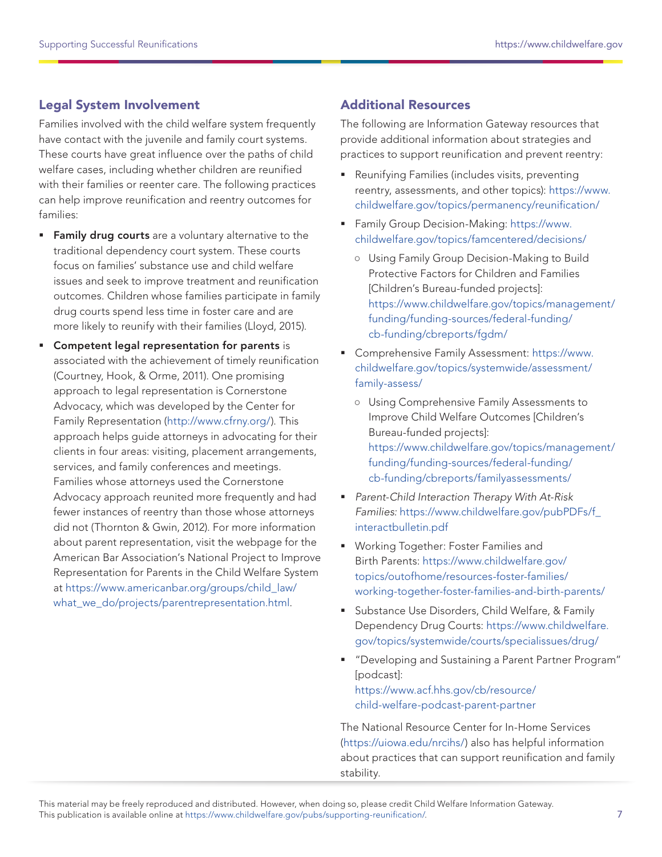#### Legal System Involvement

Families involved with the child welfare system frequently have contact with the juvenile and family court systems. These courts have great influence over the paths of child welfare cases, including whether children are reunified with their families or reenter care. The following practices can help improve reunification and reentry outcomes for families:

- **Family drug courts** are a voluntary alternative to the traditional dependency court system. These courts focus on families' substance use and child welfare issues and seek to improve treatment and reunification outcomes. Children whose families participate in family drug courts spend less time in foster care and are more likely to reunify with their families (Lloyd, 2015).
- **Competent legal representation for parents is** associated with the achievement of timely reunification (Courtney, Hook, & Orme, 2011). One promising approach to legal representation is Cornerstone Advocacy, which was developed by the Center for Family Representation ([http://www.cfrny.org/\)](http://www.cfrny.org/). This approach helps guide attorneys in advocating for their clients in four areas: visiting, placement arrangements, services, and family conferences and meetings. Families whose attorneys used the Cornerstone Advocacy approach reunited more frequently and had fewer instances of reentry than those whose attorneys did not (Thornton & Gwin, 2012). For more information about parent representation, visit the webpage for the American Bar Association's National Project to Improve Representation for Parents in the Child Welfare System at [https://www.americanbar.org/groups/child\\_law/](https://www.americanbar.org/groups/child_law/what_we_do/projects/parentrepresentation.html) what we do/projects/parentrepresentation.html.

#### Additional Resources

The following are Information Gateway resources that provide additional information about strategies and practices to support reunification and prevent reentry:

- Reunifying Families (includes visits, preventing reentry, assessments, and other topics): [https://www.](https://www.childwelfare.gov/topics/permanency/reunification/) [childwelfare.gov/topics/permanency/reunification/](https://www.childwelfare.gov/topics/permanency/reunification/)
- Family Group Decision-Making: [https://www.](https://www.childwelfare.gov/topics/famcentered/decisions/) [childwelfare.gov/topics/famcentered/decisions/](https://www.childwelfare.gov/topics/famcentered/decisions/)
	- **○** Using Family Group Decision-Making to Build Protective Factors for Children and Families [Children's Bureau-funded projects]: [https://www.childwelfare.gov/topics/management/](https://www.childwelfare.gov/topics/management/funding/funding-sources/federal-funding/cb-funding/cbreports/fgdm/) [funding/funding-sources/federal-funding/](https://www.childwelfare.gov/topics/management/funding/funding-sources/federal-funding/cb-funding/cbreports/fgdm/) [cb-funding/cbreports/fgdm/](https://www.childwelfare.gov/topics/management/funding/funding-sources/federal-funding/cb-funding/cbreports/fgdm/)
- Comprehensive Family Assessment: [https://www.](https://www.childwelfare.gov/topics/systemwide/assessment/family-assess/) [childwelfare.gov/topics/systemwide/assessment/](https://www.childwelfare.gov/topics/systemwide/assessment/family-assess/) [family-assess/](https://www.childwelfare.gov/topics/systemwide/assessment/family-assess/)
	- **○** Using Comprehensive Family Assessments to Improve Child Welfare Outcomes [Children's Bureau-funded projects]: [https://www.childwelfare.gov/topics/management/](https://www.childwelfare.gov/topics/management/funding/funding-sources/federal-funding/cb-funding/cbreports/fgdm/) [funding/funding-sources/federal-funding/](https://www.childwelfare.gov/topics/management/funding/funding-sources/federal-funding/cb-funding/cbreports/fgdm/) [cb-funding/cbreports/familyassessments/](https://www.childwelfare.gov/topics/management/funding/funding-sources/federal-funding/cb-funding/cbreports/fgdm/)
- Parent-Child Interaction Therapy With At-Risk Families: [https://www.childwelfare.gov/pubPDFs/f\\_](https://www.childwelfare.gov/pubPDFs/f_interactbulletin.pdf) [interactbulletin.pdf](https://www.childwelfare.gov/pubPDFs/f_interactbulletin.pdf)
- **Working Together: Foster Families and** Birth Parents: [https://www.childwelfare.gov/](https://www.childwelfare.gov/topics/outofhome/resources-foster-families/working-together-foster-families-and-birth-parents/) [topics/outofhome/resources-foster-families/](https://www.childwelfare.gov/topics/outofhome/resources-foster-families/working-together-foster-families-and-birth-parents/) [working-together-foster-families-and-birth-parents/](https://www.childwelfare.gov/topics/outofhome/resources-foster-families/working-together-foster-families-and-birth-parents/)
- **Substance Use Disorders, Child Welfare, & Family** Dependency Drug Courts: [https://www.childwelfare.](https://www.childwelfare.gov/topics/systemwide/courts/specialissues/drug/) [gov/topics/systemwide/courts/specialissues/drug/](https://www.childwelfare.gov/topics/systemwide/courts/specialissues/drug/)
- "Developing and Sustaining a Parent Partner Program" [podcast]: [https://www.acf.hhs.gov/cb/resource/](https://www.acf.hhs.gov/cb/resource/child-welfare-podcast-parent-partner) [child-welfare-podcast-parent-partner](https://www.acf.hhs.gov/cb/resource/child-welfare-podcast-parent-partner)

The National Resource Center for In-Home Services (<https://uiowa.edu/nrcihs/>) also has helpful information about practices that can support reunification and family stability.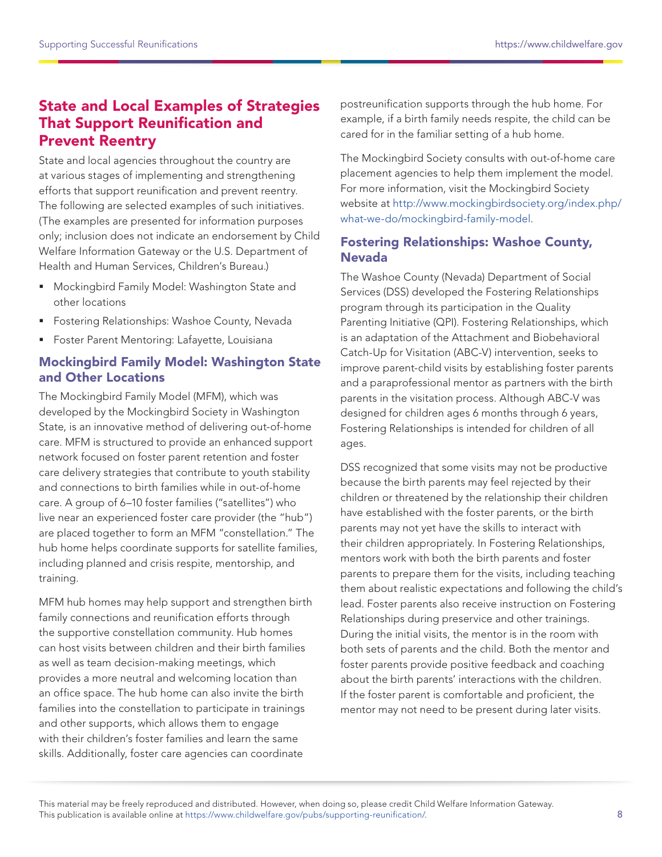#### State and Local Examples of Strategies That Support Reunification and Prevent Reentry

State and local agencies throughout the country are at various stages of implementing and strengthening efforts that support reunification and prevent reentry. The following are selected examples of such initiatives. (The examples are presented for information purposes only; inclusion does not indicate an endorsement by Child Welfare Information Gateway or the U.S. Department of Health and Human Services, Children's Bureau.)

- Mockingbird Family Model: Washington State and other locations
- **Fostering Relationships: Washoe County, Nevada**
- **Foster Parent Mentoring: Lafayette, Louisiana**

#### Mockingbird Family Model: Washington State and Other Locations

The Mockingbird Family Model (MFM), which was developed by the Mockingbird Society in Washington State, is an innovative method of delivering out-of-home care. MFM is structured to provide an enhanced support network focused on foster parent retention and foster care delivery strategies that contribute to youth stability and connections to birth families while in out-of-home care. A group of 6–10 foster families ("satellites") who live near an experienced foster care provider (the "hub") are placed together to form an MFM "constellation." The hub home helps coordinate supports for satellite families, including planned and crisis respite, mentorship, and training.

MFM hub homes may help support and strengthen birth family connections and reunification efforts through the supportive constellation community. Hub homes can host visits between children and their birth families as well as team decision-making meetings, which provides a more neutral and welcoming location than an office space. The hub home can also invite the birth families into the constellation to participate in trainings and other supports, which allows them to engage with their children's foster families and learn the same skills. Additionally, foster care agencies can coordinate

postreunification supports through the hub home. For example, if a birth family needs respite, the child can be cared for in the familiar setting of a hub home.

The Mockingbird Society consults with out-of-home care placement agencies to help them implement the model. For more information, visit the Mockingbird Society website at [http://www.mockingbirdsociety.org/index.php/](http://www.mockingbirdsociety.org/index.php/what-we-do/mockingbird-family-model) [what-we-do/mockingbird-family-model.](http://www.mockingbirdsociety.org/index.php/what-we-do/mockingbird-family-model)

#### Fostering Relationships: Washoe County, Nevada

The Washoe County (Nevada) Department of Social Services (DSS) developed the Fostering Relationships program through its participation in the Quality Parenting Initiative (QPI). Fostering Relationships, which is an adaptation of the Attachment and Biobehavioral Catch-Up for Visitation (ABC-V) intervention, seeks to improve parent-child visits by establishing foster parents and a paraprofessional mentor as partners with the birth parents in the visitation process. Although ABC-V was designed for children ages 6 months through 6 years, Fostering Relationships is intended for children of all ages.

DSS recognized that some visits may not be productive because the birth parents may feel rejected by their children or threatened by the relationship their children have established with the foster parents, or the birth parents may not yet have the skills to interact with their children appropriately. In Fostering Relationships, mentors work with both the birth parents and foster parents to prepare them for the visits, including teaching them about realistic expectations and following the child's lead. Foster parents also receive instruction on Fostering Relationships during preservice and other trainings. During the initial visits, the mentor is in the room with both sets of parents and the child. Both the mentor and foster parents provide positive feedback and coaching about the birth parents' interactions with the children. If the foster parent is comfortable and proficient, the mentor may not need to be present during later visits.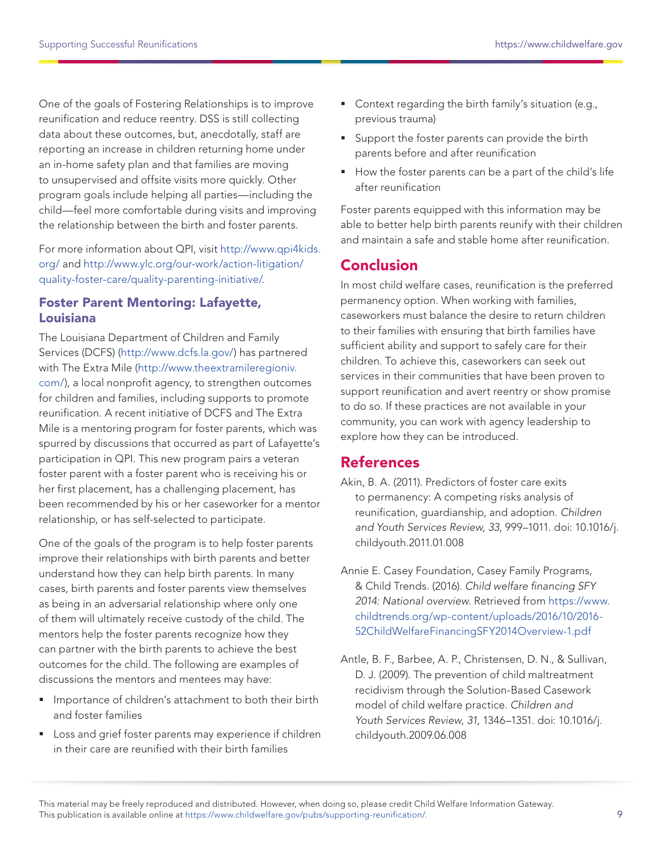One of the goals of Fostering Relationships is to improve reunification and reduce reentry. DSS is still collecting data about these outcomes, but, anecdotally, staff are reporting an increase in children returning home under an in-home safety plan and that families are moving to unsupervised and offsite visits more quickly. Other program goals include helping all parties—including the child—feel more comfortable during visits and improving the relationship between the birth and foster parents.

For more information about QPI, visit [http://www.qpi4kids.](http://www.qpi4kids.org/) [org/](http://www.qpi4kids.org/) and [http://www.ylc.org/our-work/action-litigation/](http://www.ylc.org/our-work/action-litigation/quality-foster-care/quality-parenting-initiative/) [quality-foster-care/quality-parenting-initiative/](http://www.ylc.org/our-work/action-litigation/quality-foster-care/quality-parenting-initiative/).

#### Foster Parent Mentoring: Lafayette, Louisiana

The Louisiana Department of Children and Family Services (DCFS) (<http://www.dcfs.la.gov/>) has partnered with The Extra Mile ([http://www.theextramileregioniv.](http://www.theextramileregioniv.com/) [com/\)](http://www.theextramileregioniv.com/), a local nonprofit agency, to strengthen outcomes for children and families, including supports to promote reunification. A recent initiative of DCFS and The Extra Mile is a mentoring program for foster parents, which was spurred by discussions that occurred as part of Lafayette's participation in QPI. This new program pairs a veteran foster parent with a foster parent who is receiving his or her first placement, has a challenging placement, has been recommended by his or her caseworker for a mentor relationship, or has self-selected to participate.

One of the goals of the program is to help foster parents improve their relationships with birth parents and better understand how they can help birth parents. In many cases, birth parents and foster parents view themselves as being in an adversarial relationship where only one of them will ultimately receive custody of the child. The mentors help the foster parents recognize how they can partner with the birth parents to achieve the best outcomes for the child. The following are examples of discussions the mentors and mentees may have:

- **Importance of children's attachment to both their birth** and foster families
- **Loss and grief foster parents may experience if children** in their care are reunified with their birth families
- Context regarding the birth family's situation (e.g., previous trauma)
- **Support the foster parents can provide the birth** parents before and after reunification
- How the foster parents can be a part of the child's life after reunification

Foster parents equipped with this information may be able to better help birth parents reunify with their children and maintain a safe and stable home after reunification.

## Conclusion

In most child welfare cases, reunification is the preferred permanency option. When working with families, caseworkers must balance the desire to return children to their families with ensuring that birth families have sufficient ability and support to safely care for their children. To achieve this, caseworkers can seek out services in their communities that have been proven to support reunification and avert reentry or show promise to do so. If these practices are not available in your community, you can work with agency leadership to explore how they can be introduced.

## **References**

- Akin, B. A. (2011). Predictors of foster care exits to permanency: A competing risks analysis of reunification, guardianship, and adoption. Children and Youth Services Review, 33, 999–1011. doi: 10.1016/j. childyouth.2011.01.008
- Annie E. Casey Foundation, Casey Family Programs, & Child Trends. (2016). Child welfare financing SFY 2014: National overview. Retrieved from [https://www.](https://www.childtrends.org/wp-content/uploads/2016/10/2016-52ChildWelfareFinancingSFY2014Overview-1.pdf) [childtrends.org/wp-content/uploads/2016/10/2016-](https://www.childtrends.org/wp-content/uploads/2016/10/2016-52ChildWelfareFinancingSFY2014Overview-1.pdf) [52ChildWelfareFinancingSFY2014Overview-1.pdf](https://www.childtrends.org/wp-content/uploads/2016/10/2016-52ChildWelfareFinancingSFY2014Overview-1.pdf)
- Antle, B. F., Barbee, A. P., Christensen, D. N., & Sullivan, D. J. (2009). The prevention of child maltreatment recidivism through the Solution-Based Casework model of child welfare practice. Children and Youth Services Review, 31, 1346–1351. doi: 10.1016/j. childyouth.2009.06.008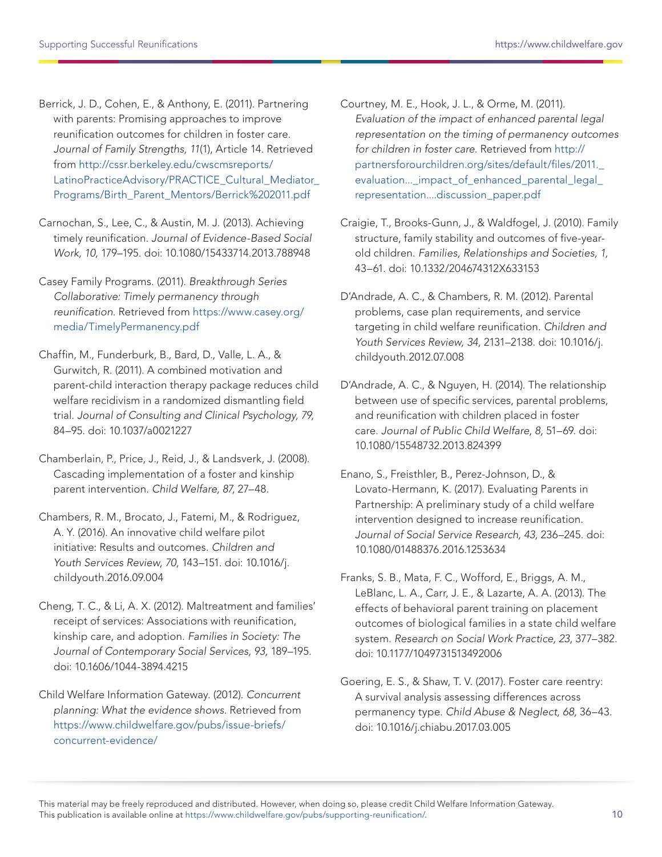Berrick, J. D., Cohen, E., & Anthony, E. (2011). Partnering with parents: Promising approaches to improve reunification outcomes for children in foster care. Journal of Family Strengths, 11(1), Article 14. Retrieved from [http://cssr.berkeley.edu/cwscmsreports/](http://cssr.berkeley.edu/cwscmsreports/LatinoPracticeAdvisory/PRACTICE_Cultural_Mediator_Programs/Birth_Parent_Mentors/Berrick%202011.pdf) LatinoPracticeAdvisory/PRACTICE\_Cultural\_Mediator [Programs/Birth\\_Parent\\_Mentors/Berrick%202011.pdf](http://cssr.berkeley.edu/cwscmsreports/LatinoPracticeAdvisory/PRACTICE_Cultural_Mediator_Programs/Birth_Parent_Mentors/Berrick%202011.pdf)

Carnochan, S., Lee, C., & Austin, M. J. (2013). Achieving timely reunification. Journal of Evidence-Based Social Work, 10, 179–195. doi: 10.1080/15433714.2013.788948

Casey Family Programs. (2011). Breakthrough Series Collaborative: Timely permanency through reunification. Retrieved from [https://www.casey.org/](https://www.casey.org/media/TimelyPermanency.pdf) [media/TimelyPermanency.pdf](https://www.casey.org/media/TimelyPermanency.pdf)

Chaffin, M., Funderburk, B., Bard, D., Valle, L. A., & Gurwitch, R. (2011). A combined motivation and parent-child interaction therapy package reduces child welfare recidivism in a randomized dismantling field trial. Journal of Consulting and Clinical Psychology, 79, 84–95. doi: 10.1037/a0021227

Chamberlain, P., Price, J., Reid, J., & Landsverk, J. (2008). Cascading implementation of a foster and kinship parent intervention. Child Welfare, 87, 27–48.

Chambers, R. M., Brocato, J., Fatemi, M., & Rodriguez, A. Y. (2016). An innovative child welfare pilot initiative: Results and outcomes. Children and Youth Services Review, 70, 143–151. doi: 10.1016/j. childyouth.2016.09.004

Cheng, T. C., & Li, A. X. (2012). Maltreatment and families' receipt of services: Associations with reunification, kinship care, and adoption. Families in Society: The Journal of Contemporary Social Services, 93, 189–195. doi: 10.1606/1044-3894.4215

Child Welfare Information Gateway. (2012). Concurrent planning: What the evidence shows. Retrieved from [https://www.childwelfare.gov/pubs/issue-briefs/](https://www.childwelfare.gov/pubs/issue-briefs/concurrent-evidence/) [concurrent-evidence/](https://www.childwelfare.gov/pubs/issue-briefs/concurrent-evidence/)

Courtney, M. E., Hook, J. L., & Orme, M. (2011). Evaluation of the impact of enhanced parental legal representation on the timing of permanency outcomes for children in foster care. Retrieved from [http://](http://partnersforourchildren.org/sites/default/files/2011._evaluation..._impact_of_enhanced_parental_legal_representation....discussion_paper.pdf) [partnersforourchildren.org/sites/default/files/2011.\\_](http://partnersforourchildren.org/sites/default/files/2011._evaluation..._impact_of_enhanced_parental_legal_representation....discussion_paper.pdf) evaluation... impact of enhanced parental legal [representation....discussion\\_paper.pdf](http://partnersforourchildren.org/sites/default/files/2011._evaluation..._impact_of_enhanced_parental_legal_representation....discussion_paper.pdf)

Craigie, T., Brooks-Gunn, J., & Waldfogel, J. (2010). Family structure, family stability and outcomes of five-yearold children. Families, Relationships and Societies, 1, 43–61. doi: 10.1332/204674312X633153

D'Andrade, A. C., & Chambers, R. M. (2012). Parental problems, case plan requirements, and service targeting in child welfare reunification. Children and Youth Services Review, 34, 2131–2138. doi: 10.1016/j. childyouth.2012.07.008

D'Andrade, A. C., & Nguyen, H. (2014). The relationship between use of specific services, parental problems, and reunification with children placed in foster care. Journal of Public Child Welfare, 8, 51–69. doi: 10.1080/15548732.2013.824399

Enano, S., Freisthler, B., Perez-Johnson, D., & Lovato-Hermann, K. (2017). Evaluating Parents in Partnership: A preliminary study of a child welfare intervention designed to increase reunification. Journal of Social Service Research, 43, 236–245. doi: 10.1080/01488376.2016.1253634

Franks, S. B., Mata, F. C., Wofford, E., Briggs, A. M., LeBlanc, L. A., Carr, J. E., & Lazarte, A. A. (2013). The effects of behavioral parent training on placement outcomes of biological families in a state child welfare system. Research on Social Work Practice, 23, 377–382. doi: 10.1177/1049731513492006

Goering, E. S., & Shaw, T. V. (2017). Foster care reentry: A survival analysis assessing differences across permanency type. Child Abuse & Neglect, 68, 36–43. doi: 10.1016/j.chiabu.2017.03.005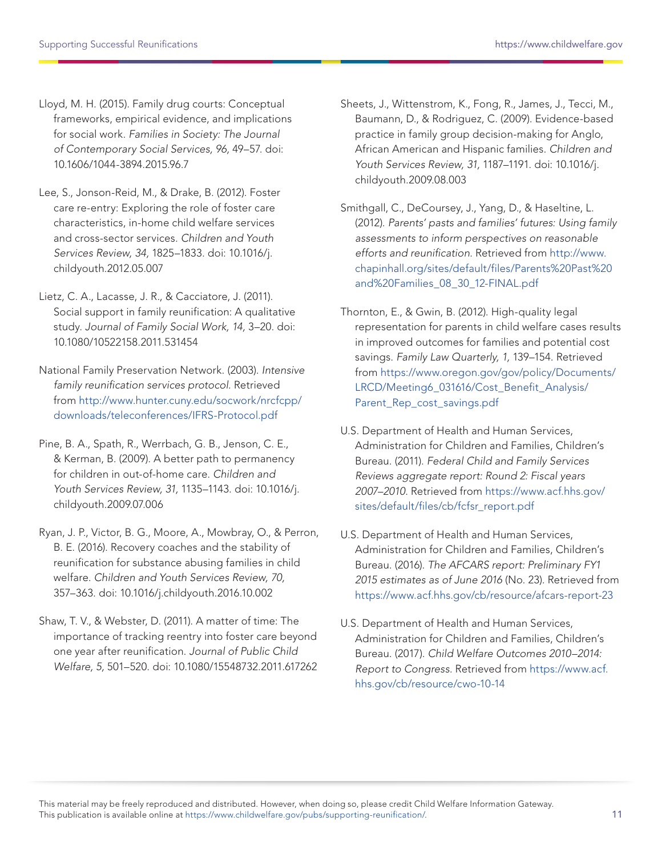Lloyd, M. H. (2015). Family drug courts: Conceptual frameworks, empirical evidence, and implications for social work. Families in Society: The Journal of Contemporary Social Services, 96, 49–57. doi: 10.1606/1044-3894.2015.96.7

- Lee, S., Jonson-Reid, M., & Drake, B. (2012). Foster care re-entry: Exploring the role of foster care characteristics, in-home child welfare services and cross-sector services. Children and Youth Services Review, 34, 1825–1833. doi: 10.1016/j. childyouth.2012.05.007
- Lietz, C. A., Lacasse, J. R., & Cacciatore, J. (2011). Social support in family reunification: A qualitative study. Journal of Family Social Work, 14, 3–20. doi: 10.1080/10522158.2011.531454
- National Family Preservation Network. (2003). Intensive family reunification services protocol. Retrieved from [http://www.hunter.cuny.edu/socwork/nrcfcpp/](http://www.hunter.cuny.edu/socwork/nrcfcpp/downloads/teleconferences/IFRS-Protocol.pdf) [downloads/teleconferences/IFRS-Protocol.pdf](http://www.hunter.cuny.edu/socwork/nrcfcpp/downloads/teleconferences/IFRS-Protocol.pdf)
- Pine, B. A., Spath, R., Werrbach, G. B., Jenson, C. E., & Kerman, B. (2009). A better path to permanency for children in out-of-home care. Children and Youth Services Review, 31, 1135–1143. doi: 10.1016/j. childyouth.2009.07.006
- Ryan, J. P., Victor, B. G., Moore, A., Mowbray, O., & Perron, B. E. (2016). Recovery coaches and the stability of reunification for substance abusing families in child welfare. Children and Youth Services Review, 70, 357–363. doi: 10.1016/j.childyouth.2016.10.002
- Shaw, T. V., & Webster, D. (2011). A matter of time: The importance of tracking reentry into foster care beyond one year after reunification. Journal of Public Child Welfare, 5, 501–520. doi: 10.1080/15548732.2011.617262
- Sheets, J., Wittenstrom, K., Fong, R., James, J., Tecci, M., Baumann, D., & Rodriguez, C. (2009). Evidence-based practice in family group decision-making for Anglo, African American and Hispanic families. Children and Youth Services Review, 31, 1187–1191. doi: 10.1016/j. childyouth.2009.08.003
- Smithgall, C., DeCoursey, J., Yang, D., & Haseltine, L. (2012). Parents' pasts and families' futures: Using family assessments to inform perspectives on reasonable efforts and reunification. Retrieved from [http://www.](http://www.chapinhall.org/sites/default/files/Parents%20Past%20and%20Families_08_30_12-FINAL.pdf) [chapinhall.org/sites/default/files/Parents%20Past%20](http://www.chapinhall.org/sites/default/files/Parents%20Past%20and%20Families_08_30_12-FINAL.pdf) [and%20Families\\_08\\_30\\_12-FINAL.pdf](http://www.chapinhall.org/sites/default/files/Parents%20Past%20and%20Families_08_30_12-FINAL.pdf)
- Thornton, E., & Gwin, B. (2012). High-quality legal representation for parents in child welfare cases results in improved outcomes for families and potential cost savings. Family Law Quarterly, 1, 139–154. Retrieved from [https://www.oregon.gov/gov/policy/Documents/](https://www.oregon.gov/gov/policy/Documents/LRCD/Meeting6_031616/Cost_Benefit_Analysis/Parent_Rep_cost_savings.pdf) [LRCD/Meeting6\\_031616/Cost\\_Benefit\\_Analysis/](https://www.oregon.gov/gov/policy/Documents/LRCD/Meeting6_031616/Cost_Benefit_Analysis/Parent_Rep_cost_savings.pdf) [Parent\\_Rep\\_cost\\_savings.pdf](https://www.oregon.gov/gov/policy/Documents/LRCD/Meeting6_031616/Cost_Benefit_Analysis/Parent_Rep_cost_savings.pdf)
- U.S. Department of Health and Human Services, Administration for Children and Families, Children's Bureau. (2011). Federal Child and Family Services Reviews aggregate report: Round 2: Fiscal years 2007–2010. Retrieved from [https://www.acf.hhs.gov/](https://www.acf.hhs.gov/sites/default/files/cb/fcfsr_report.pdf) [sites/default/files/cb/fcfsr\\_report.pdf](https://www.acf.hhs.gov/sites/default/files/cb/fcfsr_report.pdf)
- U.S. Department of Health and Human Services, Administration for Children and Families, Children's Bureau. (2016). The AFCARS report: Preliminary FY1 2015 estimates as of June 2016 (No. 23). Retrieved from <https://www.acf.hhs.gov/cb/resource/afcars-report-23>
- U.S. Department of Health and Human Services, Administration for Children and Families, Children's Bureau. (2017). Child Welfare Outcomes 2010–2014: Report to Congress. Retrieved from [https://www.acf.](https://www.acf.hhs.gov/cb/resource/cwo-10-14) [hhs.gov/cb/resource/cwo-10-14](https://www.acf.hhs.gov/cb/resource/cwo-10-14)